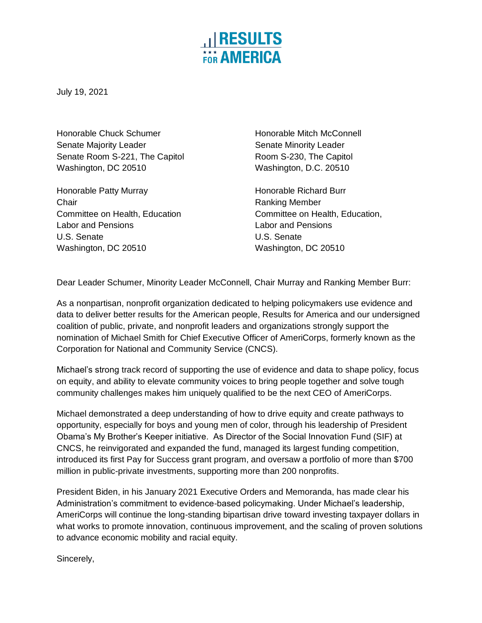

July 19, 2021

Honorable Chuck Schumer **Honorable Mitch McConnell** Senate Majority Leader Senate Minority Leader Senate Room S-221, The Capitol **Room S-230**, The Capitol Washington, DC 20510 Washington, D.C. 20510

Honorable Patty Murray **Honorable Richard Burr** Honorable Richard Burr Chair **Chair** Ranking Member Labor and Pensions Labor and Pensions U.S. Senate U.S. Senate Washington, DC 20510 Washington, DC 20510

Committee on Health, Education Committee on Health, Education,

Dear Leader Schumer, Minority Leader McConnell, Chair Murray and Ranking Member Burr:

As a nonpartisan, nonprofit organization dedicated to helping policymakers use evidence and data to deliver better results for the American people, Results for America and our undersigned coalition of public, private, and nonprofit leaders and organizations strongly support the nomination of Michael Smith for Chief Executive Officer of AmeriCorps, formerly known as the Corporation for National and Community Service (CNCS).

Michael's strong track record of supporting the use of evidence and data to shape policy, focus on equity, and ability to elevate community voices to bring people together and solve tough community challenges makes him uniquely qualified to be the next CEO of AmeriCorps.

Michael demonstrated a deep understanding of how to drive equity and create pathways to opportunity, especially for boys and young men of color, through his leadership of President Obama's My Brother's Keeper initiative. As Director of the Social Innovation Fund (SIF) at CNCS, he reinvigorated and expanded the fund, managed its largest funding competition, introduced its first Pay for Success grant program, and oversaw a portfolio of more than \$700 million in public-private investments, supporting more than 200 nonprofits.

President Biden, in his January 2021 Executive Orders and Memoranda, has made clear his Administration's commitment to evidence-based policymaking. Under Michael's leadership, AmeriCorps will continue the long-standing bipartisan drive toward investing taxpayer dollars in what works to promote innovation, continuous improvement, and the scaling of proven solutions to advance economic mobility and racial equity.

Sincerely,